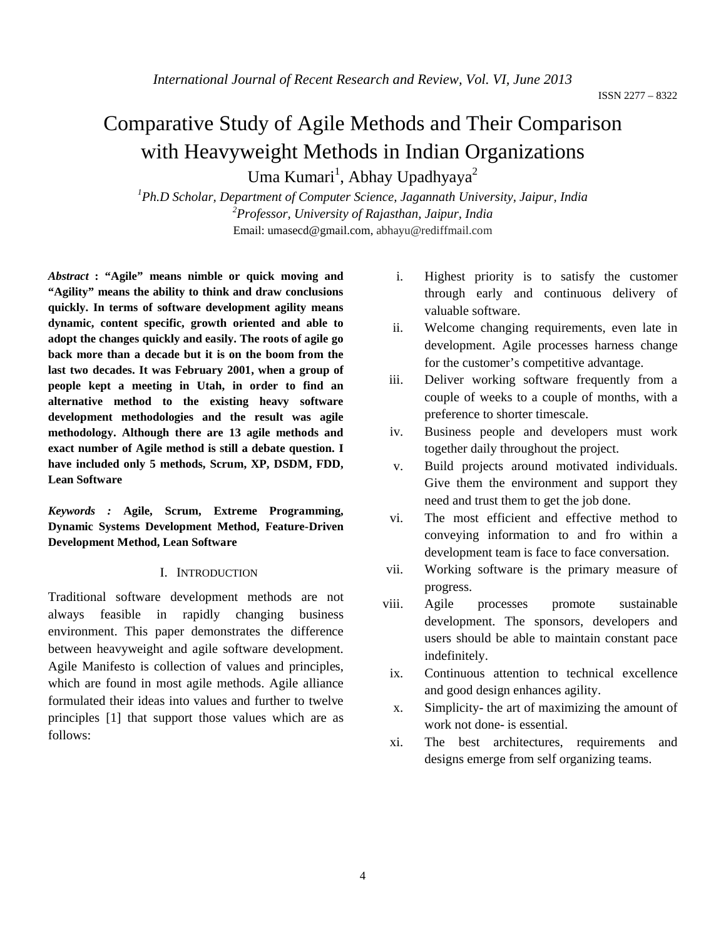# Comparative Study of Agile Methods and Their Comparison with Heavyweight Methods in Indian Organizations

Uma Kumari<sup>1</sup>, Abhay Upadhyaya<sup>2</sup>

*1 Ph.D Scholar, Department of Computer Science, Jagannath University, Jaipur, India 2 Professor, University of Rajasthan, Jaipur, India* Email: umasecd@gmail.com, abhayu@rediffmail.com

*Abstract* **: "Agile" means nimble or quick moving and "Agility" means the ability to think and draw conclusions quickly. In terms of software development agility means dynamic, content specific, growth oriented and able to adopt the changes quickly and easily. The roots of agile go back more than a decade but it is on the boom from the last two decades. It was February 2001, when a group of people kept a meeting in Utah, in order to find an alternative method to the existing heavy software development methodologies and the result was agile methodology. Although there are 13 agile methods and exact number of Agile method is still a debate question. I have included only 5 methods, Scrum, XP, DSDM, FDD, Lean Software**

*Keywords :* **Agile, Scrum, Extreme Programming, Dynamic Systems Development Method, Feature-Driven Development Method, Lean Software**

#### I. INTRODUCTION

Traditional software development methods are not always feasible in rapidly changing business environment. This paper demonstrates the difference between heavyweight and agile software development. Agile Manifesto is collection of values and principles, which are found in most agile methods. Agile alliance formulated their ideas into values and further to twelve principles [1] that support those values which are as follows:

- i. Highest priority is to satisfy the customer through early and continuous delivery of valuable software.
- ii. Welcome changing requirements, even late in development. Agile processes harness change for the customer's competitive advantage.
- iii. Deliver working software frequently from a couple of weeks to a couple of months, with a preference to shorter timescale.
- iv. Business people and developers must work together daily throughout the project.
- v. Build projects around motivated individuals. Give them the environment and support they need and trust them to get the job done.
- vi. The most efficient and effective method to conveying information to and fro within a development team is face to face conversation.
- vii. Working software is the primary measure of progress.
- viii. Agile processes promote sustainable development. The sponsors, developers and users should be able to maintain constant pace indefinitely.
- ix. Continuous attention to technical excellence and good design enhances agility.
- x. Simplicity- the art of maximizing the amount of work not done- is essential.
- xi. The best architectures, requirements and designs emerge from self organizing teams.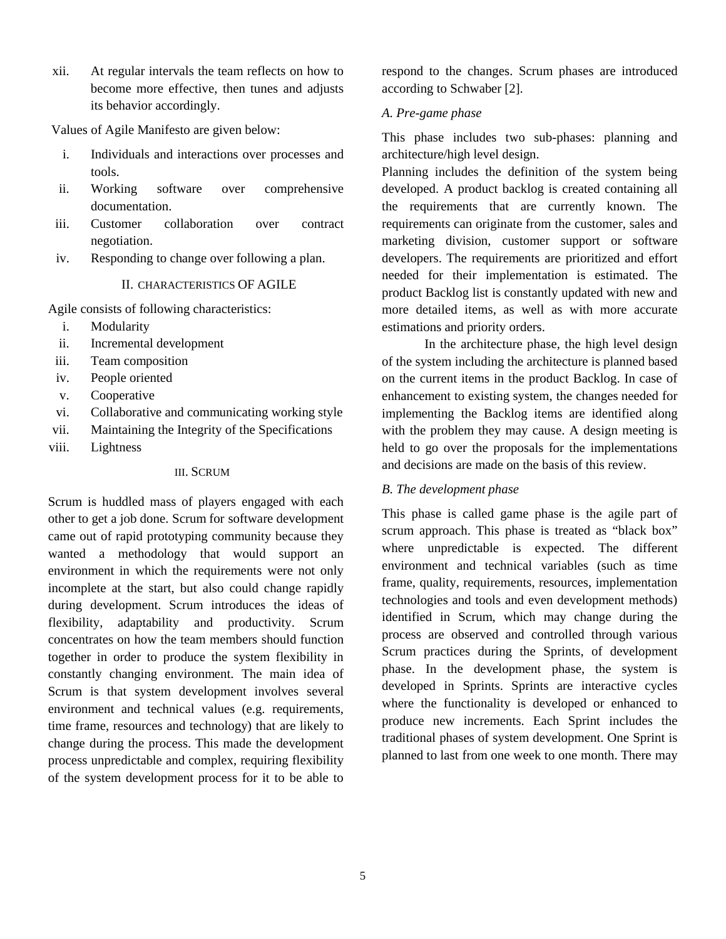xii. At regular intervals the team reflects on how to become more effective, then tunes and adjusts its behavior accordingly.

Values of Agile Manifesto are given below:

- i. Individuals and interactions over processes and tools.
- ii. Working software over comprehensive documentation.
- iii. Customer collaboration over contract negotiation.
- iv. Responding to change over following a plan.

#### II. CHARACTERISTICS OF AGILE

Agile consists of following characteristics:

- i. Modularity
- ii. Incremental development
- iii. Team composition
- iv. People oriented
- v. Cooperative
- vi. Collaborative and communicating working style
- vii. Maintaining the Integrity of the Specifications
- viii. Lightness

#### III. SCRUM

Scrum is huddled mass of players engaged with each other to get a job done. Scrum for software development came out of rapid prototyping community because they wanted a methodology that would support an environment in which the requirements were not only incomplete at the start, but also could change rapidly during development. Scrum introduces the ideas of flexibility, adaptability and productivity. Scrum concentrates on how the team members should function together in order to produce the system flexibility in constantly changing environment. The main idea of Scrum is that system development involves several environment and technical values (e.g. requirements, time frame, resources and technology) that are likely to change during the process. This made the development process unpredictable and complex, requiring flexibility of the system development process for it to be able to

respond to the changes. Scrum phases are introduced according to Schwaber [2].

## *A. Pre-game phase*

This phase includes two sub-phases: planning and architecture/high level design.

Planning includes the definition of the system being developed. A product backlog is created containing all the requirements that are currently known. The requirements can originate from the customer, sales and marketing division, customer support or software developers. The requirements are prioritized and effort needed for their implementation is estimated. The product Backlog list is constantly updated with new and more detailed items, as well as with more accurate estimations and priority orders.

In the architecture phase, the high level design of the system including the architecture is planned based on the current items in the product Backlog. In case of enhancement to existing system, the changes needed for implementing the Backlog items are identified along with the problem they may cause. A design meeting is held to go over the proposals for the implementations and decisions are made on the basis of this review.

## *B. The development phase*

This phase is called game phase is the agile part of scrum approach. This phase is treated as "black box" where unpredictable is expected. The different environment and technical variables (such as time frame, quality, requirements, resources, implementation technologies and tools and even development methods) identified in Scrum, which may change during the process are observed and controlled through various Scrum practices during the Sprints, of development phase. In the development phase, the system is developed in Sprints. Sprints are interactive cycles where the functionality is developed or enhanced to produce new increments. Each Sprint includes the traditional phases of system development. One Sprint is planned to last from one week to one month. There may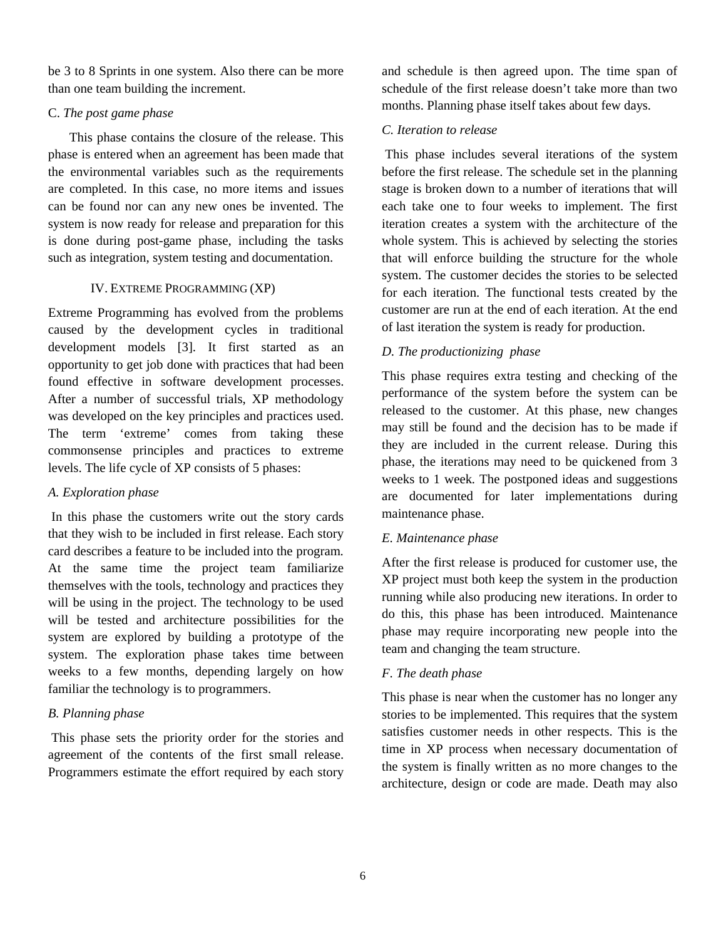be 3 to 8 Sprints in one system. Also there can be more than one team building the increment.

#### C. *The post game phase*

This phase contains the closure of the release. This phase is entered when an agreement has been made that the environmental variables such as the requirements are completed. In this case, no more items and issues can be found nor can any new ones be invented. The system is now ready for release and preparation for this is done during post-game phase, including the tasks such as integration, system testing and documentation.

## IV. EXTREME PROGRAMMING (XP)

Extreme Programming has evolved from the problems caused by the development cycles in traditional development models [3]. It first started as an opportunity to get job done with practices that had been found effective in software development processes. After a number of successful trials, XP methodology was developed on the key principles and practices used. The term 'extreme' comes from taking these commonsense principles and practices to extreme levels. The life cycle of XP consists of 5 phases:

## *A. Exploration phase*

In this phase the customers write out the story cards that they wish to be included in first release. Each story card describes a feature to be included into the program. At the same time the project team familiarize themselves with the tools, technology and practices they will be using in the project. The technology to be used will be tested and architecture possibilities for the system are explored by building a prototype of the system. The exploration phase takes time between weeks to a few months, depending largely on how familiar the technology is to programmers.

## *B. Planning phase*

This phase sets the priority order for the stories and agreement of the contents of the first small release. Programmers estimate the effort required by each story and schedule is then agreed upon. The time span of schedule of the first release doesn't take more than two months. Planning phase itself takes about few days.

## *C. Iteration to release*

This phase includes several iterations of the system before the first release. The schedule set in the planning stage is broken down to a number of iterations that will each take one to four weeks to implement. The first iteration creates a system with the architecture of the whole system. This is achieved by selecting the stories that will enforce building the structure for the whole system. The customer decides the stories to be selected for each iteration. The functional tests created by the customer are run at the end of each iteration. At the end of last iteration the system is ready for production.

## *D. The productionizing phase*

This phase requires extra testing and checking of the performance of the system before the system can be released to the customer. At this phase, new changes may still be found and the decision has to be made if they are included in the current release. During this phase, the iterations may need to be quickened from 3 weeks to 1 week. The postponed ideas and suggestions are documented for later implementations during maintenance phase.

## *E. Maintenance phase*

After the first release is produced for customer use, the XP project must both keep the system in the production running while also producing new iterations. In order to do this, this phase has been introduced. Maintenance phase may require incorporating new people into the team and changing the team structure.

## *F. The death phase*

This phase is near when the customer has no longer any stories to be implemented. This requires that the system satisfies customer needs in other respects. This is the time in XP process when necessary documentation of the system is finally written as no more changes to the architecture, design or code are made. Death may also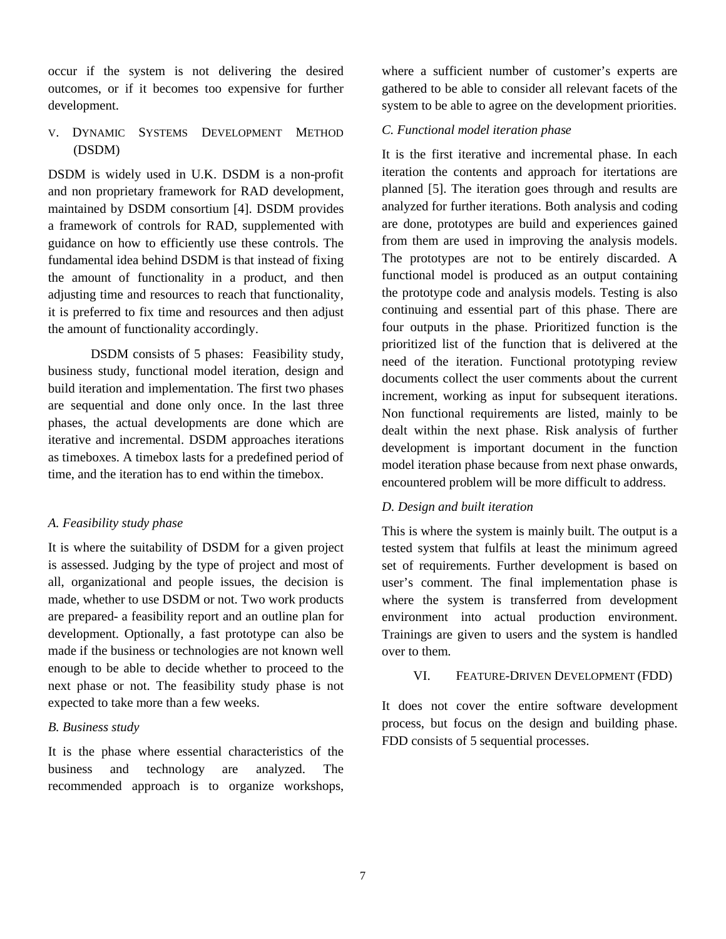occur if the system is not delivering the desired outcomes, or if it becomes too expensive for further development.

## V. DYNAMIC SYSTEMS DEVELOPMENT METHOD (DSDM)

DSDM is widely used in U.K. DSDM is a non-profit and non proprietary framework for RAD development, maintained by DSDM consortium [4]. DSDM provides a framework of controls for RAD, supplemented with guidance on how to efficiently use these controls. The fundamental idea behind DSDM is that instead of fixing the amount of functionality in a product, and then adjusting time and resources to reach that functionality, it is preferred to fix time and resources and then adjust the amount of functionality accordingly.

DSDM consists of 5 phases: Feasibility study, business study, functional model iteration, design and build iteration and implementation. The first two phases are sequential and done only once. In the last three phases, the actual developments are done which are iterative and incremental. DSDM approaches iterations as timeboxes. A timebox lasts for a predefined period of time, and the iteration has to end within the timebox.

#### *A. Feasibility study phase*

It is where the suitability of DSDM for a given project is assessed. Judging by the type of project and most of all, organizational and people issues, the decision is made, whether to use DSDM or not. Two work products are prepared- a feasibility report and an outline plan for development. Optionally, a fast prototype can also be made if the business or technologies are not known well enough to be able to decide whether to proceed to the next phase or not. The feasibility study phase is not expected to take more than a few weeks.

#### *B. Business study*

It is the phase where essential characteristics of the business and technology are analyzed. The recommended approach is to organize workshops,

where a sufficient number of customer's experts are gathered to be able to consider all relevant facets of the system to be able to agree on the development priorities.

## *C. Functional model iteration phase*

It is the first iterative and incremental phase. In each iteration the contents and approach for itertations are planned [5]. The iteration goes through and results are analyzed for further iterations. Both analysis and coding are done, prototypes are build and experiences gained from them are used in improving the analysis models. The prototypes are not to be entirely discarded. A functional model is produced as an output containing the prototype code and analysis models. Testing is also continuing and essential part of this phase. There are four outputs in the phase. Prioritized function is the prioritized list of the function that is delivered at the need of the iteration. Functional prototyping review documents collect the user comments about the current increment, working as input for subsequent iterations. Non functional requirements are listed, mainly to be dealt within the next phase. Risk analysis of further development is important document in the function model iteration phase because from next phase onwards, encountered problem will be more difficult to address.

#### *D. Design and built iteration*

This is where the system is mainly built. The output is a tested system that fulfils at least the minimum agreed set of requirements. Further development is based on user's comment. The final implementation phase is where the system is transferred from development environment into actual production environment. Trainings are given to users and the system is handled over to them.

#### VI. FEATURE-DRIVEN DEVELOPMENT (FDD)

It does not cover the entire software development process, but focus on the design and building phase. FDD consists of 5 sequential processes.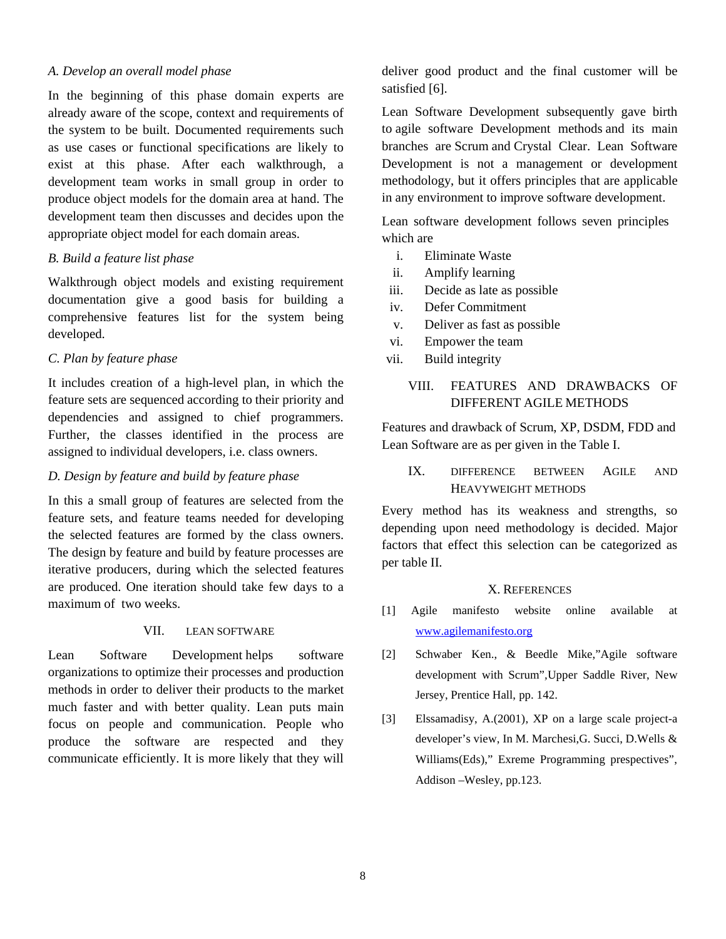#### *A. Develop an overall model phase*

In the beginning of this phase domain experts are already aware of the scope, context and requirements of the system to be built. Documented requirements such as use cases or functional specifications are likely to exist at this phase. After each walkthrough, a development team works in small group in order to produce object models for the domain area at hand. The development team then discusses and decides upon the appropriate object model for each domain areas.

#### *B. Build a feature list phase*

Walkthrough object models and existing requirement documentation give a good basis for building a comprehensive features list for the system being developed.

## *C. Plan by feature phase*

It includes creation of a high-level plan, in which the feature sets are sequenced according to their priority and dependencies and assigned to chief programmers. Further, the classes identified in the process are assigned to individual developers, i.e. class owners.

## *D. Design by feature and build by feature phase*

In this a small group of features are selected from the feature sets, and feature teams needed for developing the selected features are formed by the class owners. The design by feature and build by feature processes are iterative producers, during which the selected features are produced. One iteration should take few days to a maximum of two weeks.

#### VII. LEAN SOFTWARE

Lean Software Development helps software organizations to optimize their processes and production methods in order to deliver their products to the market much faster and with better quality. Lean puts main focus on people and communication. People who produce the software are respected and they communicate efficiently. It is more likely that they will

deliver good product and the final customer will be satisfied [6].

Lean Software Development subsequently gave birth to agile software Development methods and its main branches are Scrum and Crystal Clear. Lean Software Development is not a management or development methodology, but it offers principles that are applicable in any environment to improve software development.

Lean software development follows seven principles which are

- i. Eliminate Waste
- ii. Amplify learning
- iii. Decide as late as possible
- iv. Defer Commitment
- v. Deliver as fast as possible
- vi. Empower the team
- vii. Build integrity

## VIII. FEATURES AND DRAWBACKS OF DIFFERENT AGILE METHODS

Features and drawback of Scrum, XP, DSDM, FDD and Lean Software are as per given in the Table I.

## IX. DIFFERENCE BETWEEN AGILE AND HEAVYWEIGHT METHODS

Every method has its weakness and strengths, so depending upon need methodology is decided. Major factors that effect this selection can be categorized as per table II.

#### X. REFERENCES

- [1] Agile manifesto website online available at www.agilemanifesto.org
- [2] Schwaber Ken., & Beedle Mike,"Agile software development with Scrum"*,*Upper Saddle River, New Jersey, Prentice Hall, pp. 142.
- [3] Elssamadisy, A.(2001), XP on a large scale project-a developer's view, In M. Marchesi,G. Succi, D.Wells & Williams(Eds)," Exreme Programming prespectives", Addison –Wesley, pp.123.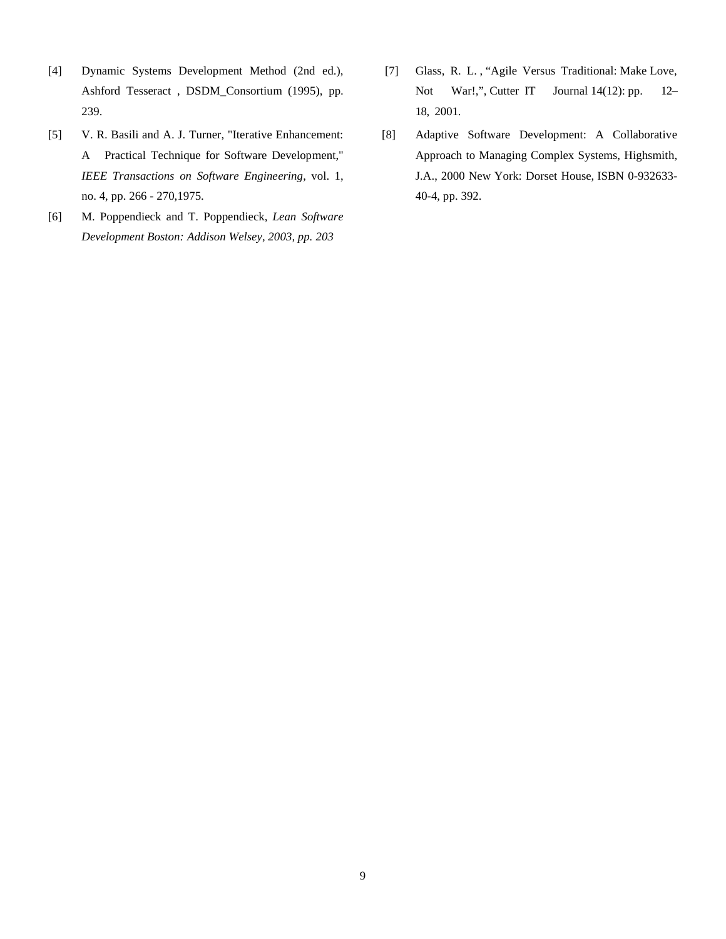- [4] Dynamic Systems Development Method (2nd ed.), Ashford Tesseract , DSDM\_Consortium (1995), pp. 239.
- [5] V. R. Basili and A. J. Turner, "Iterative Enhancement: A Practical Technique for Software Development," *IEEE Transactions on Software Engineering*, vol. 1, no. 4, pp. 266 - 270,1975.
- [6] M. Poppendieck and T. Poppendieck, *Lean Software Development Boston: Addison Welsey, 2003, pp. 203*
- [7] Glass, R. L. , "Agile Versus Traditional: Make Love, Not War!,", Cutter IT Journal 14(12): pp. 12– 18, 2001.
- [8] Adaptive Software Development: A Collaborative Approach to Managing Complex Systems, Highsmith, J.A., 2000 New York: Dorset House, ISBN 0-932633- 40-4, pp. 392.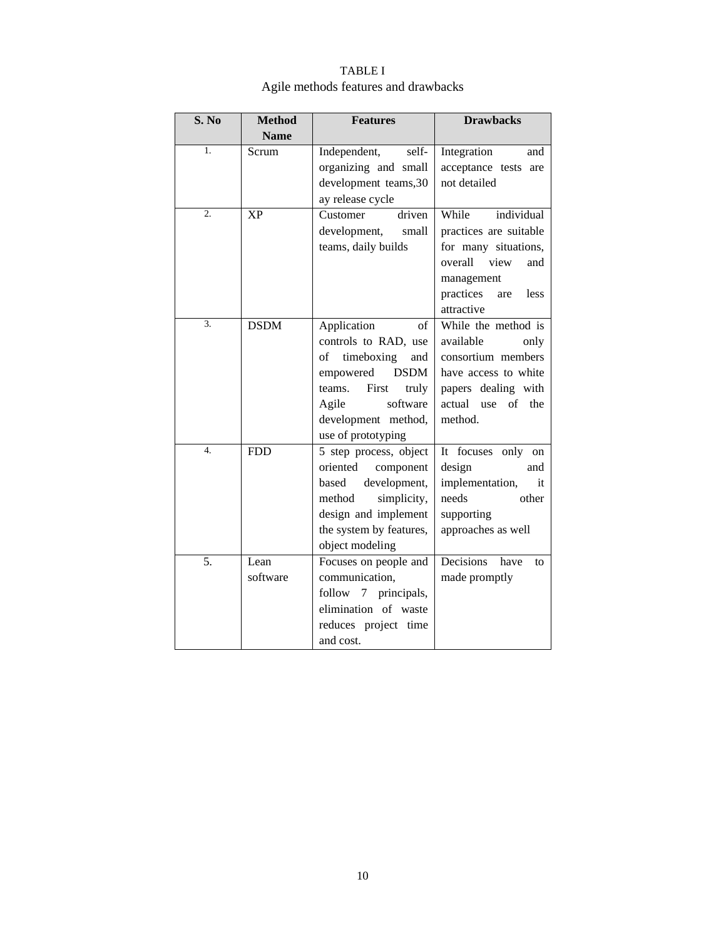| S. No            | <b>Method</b>    | <b>Features</b>                                                                                                                                                                                | <b>Drawbacks</b>                                                                                                                                        |
|------------------|------------------|------------------------------------------------------------------------------------------------------------------------------------------------------------------------------------------------|---------------------------------------------------------------------------------------------------------------------------------------------------------|
|                  | <b>Name</b>      |                                                                                                                                                                                                |                                                                                                                                                         |
| 1.               | Scrum            | Independent,<br>self-<br>organizing and small<br>development teams, 30<br>ay release cycle                                                                                                     | Integration<br>and<br>acceptance tests are<br>not detailed                                                                                              |
| $\overline{2}$ . | <b>XP</b>        | driven<br>Customer<br>development,<br>small<br>teams, daily builds                                                                                                                             | individual<br>While<br>practices are suitable<br>for many situations,<br>overall<br>view<br>and<br>management<br>practices<br>less<br>are<br>attractive |
| 3.               | <b>DSDM</b>      | Application<br>οf<br>controls to RAD, use<br>timeboxing<br>of<br>and<br><b>DSDM</b><br>empowered<br>First<br>teams.<br>truly<br>software<br>Agile<br>development method,<br>use of prototyping | While the method is<br>available<br>only<br>consortium members<br>have access to white<br>papers dealing with<br>actual use of the<br>method.           |
| 4.               | <b>FDD</b>       | 5 step process, object<br>oriented<br>component<br>based<br>development,<br>method<br>simplicity,<br>design and implement<br>the system by features,<br>object modeling                        | It focuses only<br>on<br>design<br>and<br>implementation,<br>it<br>needs<br>other<br>supporting<br>approaches as well                                   |
| 5.               | Lean<br>software | Focuses on people and<br>communication,<br>follow 7 principals,<br>elimination of waste<br>reduces project time<br>and cost.                                                                   | Decisions<br>have<br>to<br>made promptly                                                                                                                |

## TABLE I Agile methods features and drawbacks